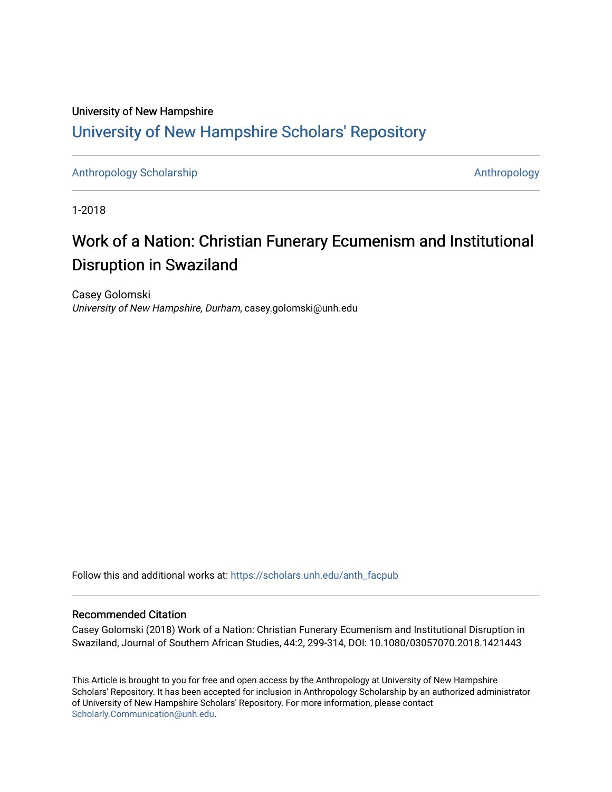# University of New Hampshire [University of New Hampshire Scholars' Repository](https://scholars.unh.edu/)

[Anthropology Scholarship](https://scholars.unh.edu/anth_facpub) [Anthropology](https://scholars.unh.edu/anth) Scholarship Anthropology

1-2018

# Work of a Nation: Christian Funerary Ecumenism and Institutional Disruption in Swaziland

Casey Golomski University of New Hampshire, Durham, casey.golomski@unh.edu

Follow this and additional works at: [https://scholars.unh.edu/anth\\_facpub](https://scholars.unh.edu/anth_facpub?utm_source=scholars.unh.edu%2Fanth_facpub%2F17&utm_medium=PDF&utm_campaign=PDFCoverPages) 

#### Recommended Citation

Casey Golomski (2018) Work of a Nation: Christian Funerary Ecumenism and Institutional Disruption in Swaziland, Journal of Southern African Studies, 44:2, 299-314, DOI: 10.1080/03057070.2018.1421443

This Article is brought to you for free and open access by the Anthropology at University of New Hampshire Scholars' Repository. It has been accepted for inclusion in Anthropology Scholarship by an authorized administrator of University of New Hampshire Scholars' Repository. For more information, please contact [Scholarly.Communication@unh.edu](mailto:Scholarly.Communication@unh.edu).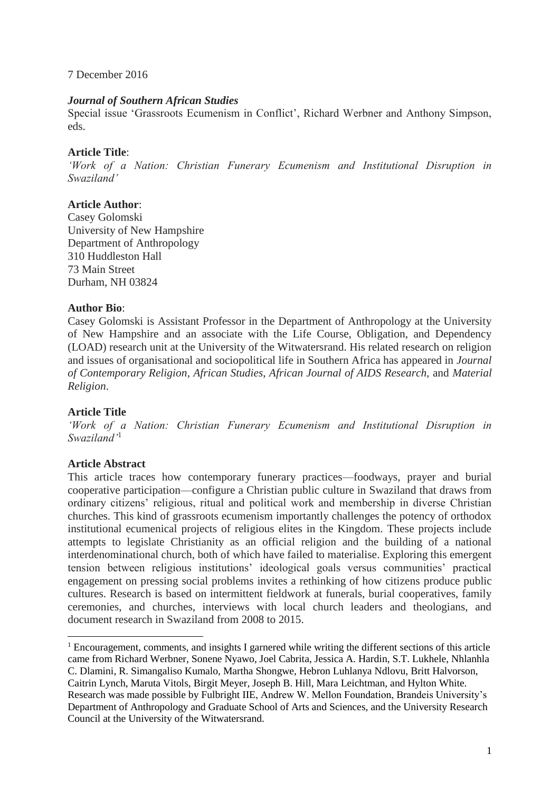#### 7 December 2016

#### *Journal of Southern African Studies*

Special issue 'Grassroots Ecumenism in Conflict', Richard Werbner and Anthony Simpson, eds.

## **Article Title**:

*'Work of a Nation: Christian Funerary Ecumenism and Institutional Disruption in Swaziland'*

# **Article Author**:

Casey Golomski University of New Hampshire Department of Anthropology 310 Huddleston Hall 73 Main Street Durham, NH 03824

## **Author Bio**:

Casey Golomski is Assistant Professor in the Department of Anthropology at the University of New Hampshire and an associate with the Life Course, Obligation, and Dependency (LOAD) research unit at the University of the Witwatersrand. His related research on religion and issues of organisational and sociopolitical life in Southern Africa has appeared in *Journal of Contemporary Religion*, *African Studies*, *African Journal of AIDS Research,* and *Material Religion*.

#### **Article Title**

*'Work of a Nation: Christian Funerary Ecumenism and Institutional Disruption in Swaziland'*<sup>1</sup>

# **Article Abstract**

 $\overline{a}$ 

This article traces how contemporary funerary practices—foodways, prayer and burial cooperative participation—configure a Christian public culture in Swaziland that draws from ordinary citizens' religious, ritual and political work and membership in diverse Christian churches. This kind of grassroots ecumenism importantly challenges the potency of orthodox institutional ecumenical projects of religious elites in the Kingdom. These projects include attempts to legislate Christianity as an official religion and the building of a national interdenominational church, both of which have failed to materialise. Exploring this emergent tension between religious institutions' ideological goals versus communities' practical engagement on pressing social problems invites a rethinking of how citizens produce public cultures. Research is based on intermittent fieldwork at funerals, burial cooperatives, family ceremonies, and churches, interviews with local church leaders and theologians, and document research in Swaziland from 2008 to 2015.

<sup>&</sup>lt;sup>1</sup> Encouragement, comments, and insights I garnered while writing the different sections of this article came from Richard Werbner, Sonene Nyawo, Joel Cabrita, Jessica A. Hardin, S.T. Lukhele, Nhlanhla C. Dlamini, R. Simangaliso Kumalo, Martha Shongwe, Hebron Luhlanya Ndlovu, Britt Halvorson, Caitrin Lynch, Maruta Vitols, Birgit Meyer, Joseph B. Hill, Mara Leichtman, and Hylton White. Research was made possible by Fulbright IIE, Andrew W. Mellon Foundation, Brandeis University's Department of Anthropology and Graduate School of Arts and Sciences, and the University Research Council at the University of the Witwatersrand.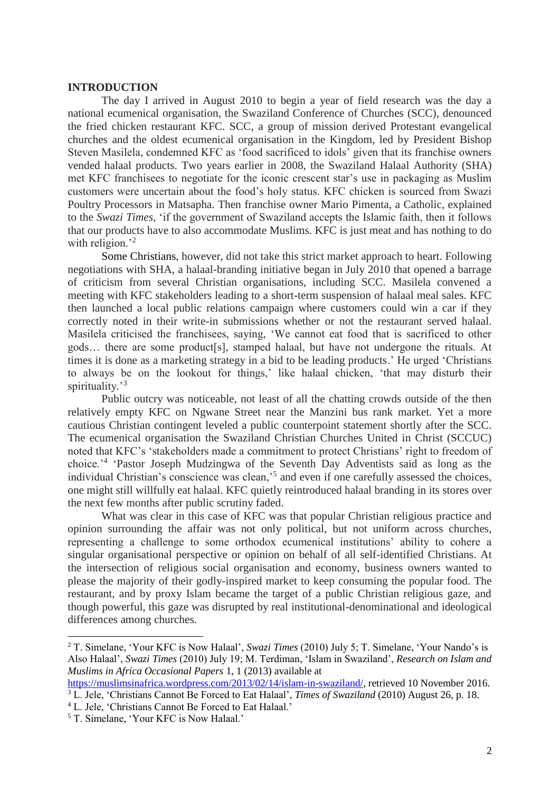#### **INTRODUCTION**

The day I arrived in August 2010 to begin a year of field research was the day a national ecumenical organisation, the Swaziland Conference of Churches (SCC), denounced the fried chicken restaurant KFC. SCC, a group of mission derived Protestant evangelical churches and the oldest ecumenical organisation in the Kingdom, led by President Bishop Steven Masilela, condemned KFC as 'food sacrificed to idols' given that its franchise owners vended halaal products. Two years earlier in 2008, the Swaziland Halaal Authority (SHA) met KFC franchisees to negotiate for the iconic crescent star's use in packaging as Muslim customers were uncertain about the food's holy status. KFC chicken is sourced from Swazi Poultry Processors in Matsapha. Then franchise owner Mario Pimenta, a Catholic, explained to the *Swazi Times*, 'if the government of Swaziland accepts the Islamic faith, then it follows that our products have to also accommodate Muslims. KFC is just meat and has nothing to do with religion.<sup>2</sup>

Some Christians, however, did not take this strict market approach to heart. Following negotiations with SHA, a halaal-branding initiative began in July 2010 that opened a barrage of criticism from several Christian organisations, including SCC. Masilela convened a meeting with KFC stakeholders leading to a short-term suspension of halaal meal sales. KFC then launched a local public relations campaign where customers could win a car if they correctly noted in their write-in submissions whether or not the restaurant served halaal. Masilela criticised the franchisees, saying, 'We cannot eat food that is sacrificed to other gods… there are some product[s], stamped halaal, but have not undergone the rituals. At times it is done as a marketing strategy in a bid to be leading products.' He urged 'Christians to always be on the lookout for things,' like halaal chicken, 'that may disturb their spirituality.<sup>3</sup>

Public outcry was noticeable, not least of all the chatting crowds outside of the then relatively empty KFC on Ngwane Street near the Manzini bus rank market. Yet a more cautious Christian contingent leveled a public counterpoint statement shortly after the SCC. The ecumenical organisation the Swaziland Christian Churches United in Christ (SCCUC) noted that KFC's 'stakeholders made a commitment to protect Christians' right to freedom of choice.'<sup>4</sup> 'Pastor Joseph Mudzingwa of the Seventh Day Adventists said as long as the individual Christian's conscience was clean,<sup>5</sup> and even if one carefully assessed the choices, one might still willfully eat halaal. KFC quietly reintroduced halaal branding in its stores over the next few months after public scrutiny faded.

What was clear in this case of KFC was that popular Christian religious practice and opinion surrounding the affair was not only political, but not uniform across churches, representing a challenge to some orthodox ecumenical institutions' ability to cohere a singular organisational perspective or opinion on behalf of all self-identified Christians. At the intersection of religious social organisation and economy, business owners wanted to please the majority of their godly-inspired market to keep consuming the popular food. The restaurant, and by proxy Islam became the target of a public Christian religious gaze, and though powerful, this gaze was disrupted by real institutional-denominational and ideological differences among churches.

<sup>2</sup> T. Simelane, 'Your KFC is Now Halaal', *Swazi Times* (2010) July 5; T. Simelane, 'Your Nando's is Also Halaal', *Swazi Times* (2010) July 19; M. Terdiman, 'Islam in Swaziland', *Research on Islam and Muslims in Africa Occasional Papers* 1, 1 (2013) available at

[https://muslimsinafrica.wordpress.com/2013/02/14/islam-in-swaziland/,](https://muslimsinafrica.wordpress.com/2013/02/14/islam-in-swaziland/) retrieved 10 November 2016. <sup>3</sup> L. Jele, 'Christians Cannot Be Forced to Eat Halaal', *Times of Swaziland* (2010) August 26, p. 18.

<sup>4</sup> L. Jele, 'Christians Cannot Be Forced to Eat Halaal.'

<sup>5</sup> T. Simelane, 'Your KFC is Now Halaal.'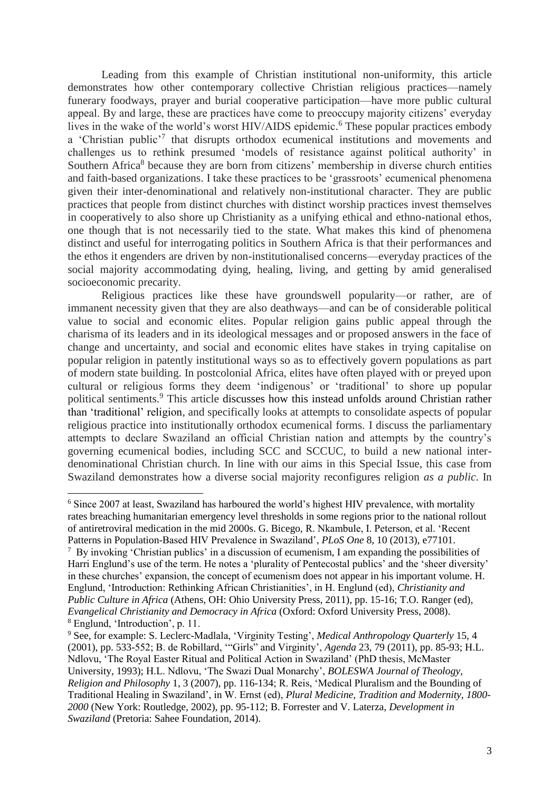Leading from this example of Christian institutional non-uniformity, this article demonstrates how other contemporary collective Christian religious practices—namely funerary foodways, prayer and burial cooperative participation—have more public cultural appeal. By and large, these are practices have come to preoccupy majority citizens' everyday lives in the wake of the world's worst HIV/AIDS epidemic. <sup>6</sup> These popular practices embody a 'Christian public'<sup>7</sup> that disrupts orthodox ecumenical institutions and movements and challenges us to rethink presumed 'models of resistance against political authority' in Southern Africa<sup>8</sup> because they are born from citizens' membership in diverse church entities and faith-based organizations. I take these practices to be 'grassroots' ecumenical phenomena given their inter-denominational and relatively non-institutional character. They are public practices that people from distinct churches with distinct worship practices invest themselves in cooperatively to also shore up Christianity as a unifying ethical and ethno-national ethos, one though that is not necessarily tied to the state. What makes this kind of phenomena distinct and useful for interrogating politics in Southern Africa is that their performances and the ethos it engenders are driven by non-institutionalised concerns—everyday practices of the social majority accommodating dying, healing, living, and getting by amid generalised socioeconomic precarity.

Religious practices like these have groundswell popularity—or rather, are of immanent necessity given that they are also deathways—and can be of considerable political value to social and economic elites. Popular religion gains public appeal through the charisma of its leaders and in its ideological messages and or proposed answers in the face of change and uncertainty, and social and economic elites have stakes in trying capitalise on popular religion in patently institutional ways so as to effectively govern populations as part of modern state building. In postcolonial Africa, elites have often played with or preyed upon cultural or religious forms they deem 'indigenous' or 'traditional' to shore up popular political sentiments.<sup>9</sup> This article discusses how this instead unfolds around Christian rather than 'traditional' religion, and specifically looks at attempts to consolidate aspects of popular religious practice into institutionally orthodox ecumenical forms. I discuss the parliamentary attempts to declare Swaziland an official Christian nation and attempts by the country's governing ecumenical bodies, including SCC and SCCUC, to build a new national interdenominational Christian church. In line with our aims in this Special Issue, this case from Swaziland demonstrates how a diverse social majority reconfigures religion *as a public*. In

<sup>6</sup> Since 2007 at least, Swaziland has harboured the world's highest HIV prevalence, with mortality rates breaching humanitarian emergency level thresholds in some regions prior to the national rollout of antiretroviral medication in the mid 2000s. G. Bicego, R. Nkambule, I. Peterson, et al. 'Recent Patterns in Population-Based HIV Prevalence in Swaziland', *PLoS One* 8, 10 (2013), e77101.

<sup>&</sup>lt;sup>7</sup> By invoking 'Christian publics' in a discussion of ecumenism, I am expanding the possibilities of Harri Englund's use of the term. He notes a 'plurality of Pentecostal publics' and the 'sheer diversity' in these churches' expansion, the concept of ecumenism does not appear in his important volume. H. Englund, 'Introduction: Rethinking African Christianities', in H. Englund (ed), *Christianity and Public Culture in Africa* (Athens, OH: Ohio University Press, 2011), pp. 15-16; T.O. Ranger (ed), *Evangelical Christianity and Democracy in Africa* (Oxford: Oxford University Press, 2008). <sup>8</sup> Englund, 'Introduction', p. 11.

<sup>9</sup> See, for example: S. Leclerc-Madlala, 'Virginity Testing', *Medical Anthropology Quarterly* 15, 4 (2001), pp. 533-552; B. de Robillard, '"Girls" and Virginity', *Agenda* 23, 79 (2011), pp. 85-93; H.L. Ndlovu, 'The Royal Easter Ritual and Political Action in Swaziland' (PhD thesis, McMaster University, 1993); H.L. Ndlovu, 'The Swazi Dual Monarchy', *BOLESWA Journal of Theology, Religion and Philosophy* 1, 3 (2007), pp. 116-134; R. Reis, 'Medical Pluralism and the Bounding of Traditional Healing in Swaziland', in W. Ernst (ed), *Plural Medicine, Tradition and Modernity, 1800- 2000* (New York: Routledge, 2002), pp. 95-112; B. Forrester and V. Laterza, *Development in Swaziland* (Pretoria: Sahee Foundation, 2014).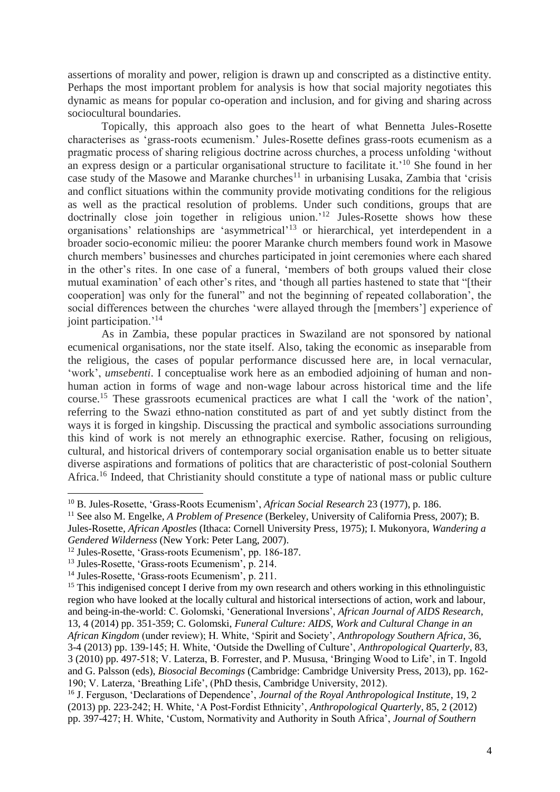assertions of morality and power, religion is drawn up and conscripted as a distinctive entity. Perhaps the most important problem for analysis is how that social majority negotiates this dynamic as means for popular co-operation and inclusion, and for giving and sharing across sociocultural boundaries.

Topically, this approach also goes to the heart of what Bennetta Jules-Rosette characterises as 'grass-roots ecumenism.' Jules-Rosette defines grass-roots ecumenism as a pragmatic process of sharing religious doctrine across churches, a process unfolding 'without an express design or a particular organisational structure to facilitate it.'<sup>10</sup> She found in her case study of the Masowe and Maranke churches<sup>11</sup> in urbanising Lusaka, Zambia that 'crisis and conflict situations within the community provide motivating conditions for the religious as well as the practical resolution of problems. Under such conditions, groups that are doctrinally close join together in religious union.<sup>'12</sup> Jules-Rosette shows how these organisations' relationships are 'asymmetrical'<sup>13</sup> or hierarchical, yet interdependent in a broader socio-economic milieu: the poorer Maranke church members found work in Masowe church members' businesses and churches participated in joint ceremonies where each shared in the other's rites. In one case of a funeral, 'members of both groups valued their close mutual examination' of each other's rites, and 'though all parties hastened to state that "[their cooperation] was only for the funeral" and not the beginning of repeated collaboration', the social differences between the churches 'were allayed through the [members'] experience of joint participation.<sup>'14</sup>

As in Zambia, these popular practices in Swaziland are not sponsored by national ecumenical organisations, nor the state itself. Also, taking the economic as inseparable from the religious, the cases of popular performance discussed here are, in local vernacular, 'work', *umsebenti*. I conceptualise work here as an embodied adjoining of human and nonhuman action in forms of wage and non-wage labour across historical time and the life course.<sup>15</sup> These grassroots ecumenical practices are what I call the 'work of the nation', referring to the Swazi ethno-nation constituted as part of and yet subtly distinct from the ways it is forged in kingship. Discussing the practical and symbolic associations surrounding this kind of work is not merely an ethnographic exercise. Rather, focusing on religious, cultural, and historical drivers of contemporary social organisation enable us to better situate diverse aspirations and formations of politics that are characteristic of post-colonial Southern Africa.<sup>16</sup> Indeed, that Christianity should constitute a type of national mass or public culture

<sup>10</sup> B. Jules-Rosette, 'Grass-Roots Ecumenism', *African Social Research* 23 (1977), p. 186.

<sup>11</sup> See also M. Engelke, *A Problem of Presence* (Berkeley, University of California Press, 2007); B. Jules-Rosette, *African Apostles* (Ithaca: Cornell University Press, 1975); I. Mukonyora, *Wandering a* 

*Gendered Wilderness* (New York: Peter Lang, 2007).

<sup>12</sup> Jules-Rosette, 'Grass-roots Ecumenism', pp. 186-187.

<sup>13</sup> Jules-Rosette, 'Grass-roots Ecumenism', p. 214.

<sup>14</sup> Jules-Rosette, 'Grass-roots Ecumenism', p. 211.

<sup>&</sup>lt;sup>15</sup> This indigenised concept I derive from my own research and others working in this ethnolinguistic region who have looked at the locally cultural and historical intersections of action, work and labour, and being-in-the-world: C. Golomski, 'Generational Inversions', *African Journal of AIDS Research*, 13, 4 (2014) pp. 351-359; C. Golomski, *Funeral Culture: AIDS, Work and Cultural Change in an African Kingdom* (under review); H. White, 'Spirit and Society', *Anthropology Southern Africa*, 36, 3-4 (2013) pp. 139-145; H. White, 'Outside the Dwelling of Culture', *Anthropological Quarterly*, 83, 3 (2010) pp. 497-518; V. Laterza, B. Forrester, and P. Mususa, 'Bringing Wood to Life', in T. Ingold and G. Palsson (eds), *Biosocial Becomings* (Cambridge: Cambridge University Press, 2013), pp. 162- 190; V. Laterza, 'Breathing Life', (PhD thesis, Cambridge University, 2012).

<sup>16</sup> J. Ferguson, 'Declarations of Dependence', *Journal of the Royal Anthropological Institute*, 19, 2 (2013) pp. 223-242; H. White, 'A Post-Fordist Ethnicity', *Anthropological Quarterly*, 85, 2 (2012) pp. 397-427; H. White, 'Custom, Normativity and Authority in South Africa', *Journal of Southern*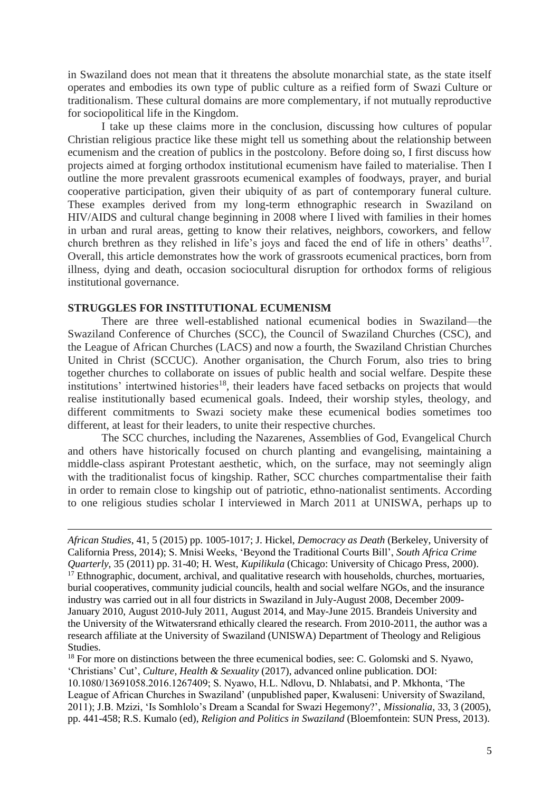in Swaziland does not mean that it threatens the absolute monarchial state, as the state itself operates and embodies its own type of public culture as a reified form of Swazi Culture or traditionalism. These cultural domains are more complementary, if not mutually reproductive for sociopolitical life in the Kingdom.

I take up these claims more in the conclusion, discussing how cultures of popular Christian religious practice like these might tell us something about the relationship between ecumenism and the creation of publics in the postcolony. Before doing so, I first discuss how projects aimed at forging orthodox institutional ecumenism have failed to materialise. Then I outline the more prevalent grassroots ecumenical examples of foodways, prayer, and burial cooperative participation, given their ubiquity of as part of contemporary funeral culture. These examples derived from my long-term ethnographic research in Swaziland on HIV/AIDS and cultural change beginning in 2008 where I lived with families in their homes in urban and rural areas, getting to know their relatives, neighbors, coworkers, and fellow church brethren as they relished in life's joys and faced the end of life in others' deaths<sup>17</sup>. Overall, this article demonstrates how the work of grassroots ecumenical practices, born from illness, dying and death, occasion sociocultural disruption for orthodox forms of religious institutional governance.

#### **STRUGGLES FOR INSTITUTIONAL ECUMENISM**

There are three well-established national ecumenical bodies in Swaziland—the Swaziland Conference of Churches (SCC), the Council of Swaziland Churches (CSC), and the League of African Churches (LACS) and now a fourth, the Swaziland Christian Churches United in Christ (SCCUC). Another organisation, the Church Forum, also tries to bring together churches to collaborate on issues of public health and social welfare. Despite these institutions' intertwined histories<sup>18</sup>, their leaders have faced setbacks on projects that would realise institutionally based ecumenical goals. Indeed, their worship styles, theology, and different commitments to Swazi society make these ecumenical bodies sometimes too different, at least for their leaders, to unite their respective churches.

The SCC churches, including the Nazarenes, Assemblies of God, Evangelical Church and others have historically focused on church planting and evangelising, maintaining a middle-class aspirant Protestant aesthetic, which, on the surface, may not seemingly align with the traditionalist focus of kingship. Rather, SCC churches compartmentalise their faith in order to remain close to kingship out of patriotic, ethno-nationalist sentiments. According to one religious studies scholar I interviewed in March 2011 at UNISWA, perhaps up to

<sup>18</sup> For more on distinctions between the three ecumenical bodies, see: C. Golomski and S. Nyawo, 'Christians' Cut', *Culture, Health & Sexuality* (2017), advanced online publication. DOI: 10.1080/13691058.2016.1267409; S. Nyawo, H.L. Ndlovu, D. Nhlabatsi, and P. Mkhonta, 'The League of African Churches in Swaziland' (unpublished paper, Kwaluseni: University of Swaziland, 2011); J.B. Mzizi, 'Is Somhlolo's Dream a Scandal for Swazi Hegemony?', *Missionalia*, 33, 3 (2005), pp. 441-458; R.S. Kumalo (ed), *Religion and Politics in Swaziland* (Bloemfontein: SUN Press, 2013).

*African Studies*, 41, 5 (2015) pp. 1005-1017; J. Hickel, *Democracy as Death* (Berkeley, University of California Press, 2014); S. Mnisi Weeks, 'Beyond the Traditional Courts Bill', *South Africa Crime Quarterly*, 35 (2011) pp. 31-40; H. West, *Kupilikula* (Chicago: University of Chicago Press, 2000). <sup>17</sup> Ethnographic, document, archival, and qualitative research with households, churches, mortuaries, burial cooperatives, community judicial councils, health and social welfare NGOs, and the insurance industry was carried out in all four districts in Swaziland in July-August 2008, December 2009- January 2010, August 2010-July 2011, August 2014, and May-June 2015. Brandeis University and the University of the Witwatersrand ethically cleared the research. From 2010-2011, the author was a research affiliate at the University of Swaziland (UNISWA) Department of Theology and Religious Studies.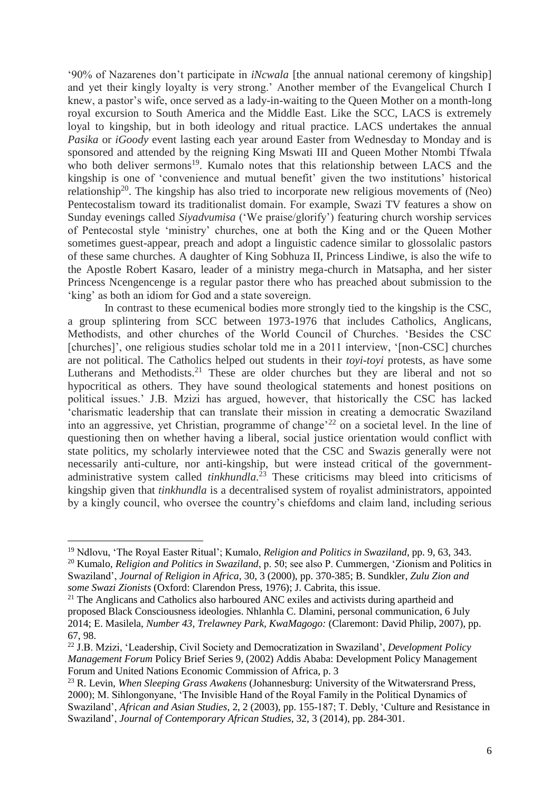'90% of Nazarenes don't participate in *iNcwala* [the annual national ceremony of kingship] and yet their kingly loyalty is very strong.' Another member of the Evangelical Church I knew, a pastor's wife, once served as a lady-in-waiting to the Queen Mother on a month-long royal excursion to South America and the Middle East. Like the SCC, LACS is extremely loyal to kingship, but in both ideology and ritual practice. LACS undertakes the annual *Pasika* or *iGoody* event lasting each year around Easter from Wednesday to Monday and is sponsored and attended by the reigning King Mswati III and Queen Mother Ntombi Tfwala who both deliver sermons<sup>19</sup>. Kumalo notes that this relationship between LACS and the kingship is one of 'convenience and mutual benefit' given the two institutions' historical relationship<sup>20</sup>. The kingship has also tried to incorporate new religious movements of (Neo) Pentecostalism toward its traditionalist domain. For example, Swazi TV features a show on Sunday evenings called *Siyadvumisa* ('We praise/glorify') featuring church worship services of Pentecostal style 'ministry' churches, one at both the King and or the Queen Mother sometimes guest-appear, preach and adopt a linguistic cadence similar to glossolalic pastors of these same churches. A daughter of King Sobhuza II, Princess Lindiwe, is also the wife to the Apostle Robert Kasaro, leader of a ministry mega-church in Matsapha, and her sister Princess Ncengencenge is a regular pastor there who has preached about submission to the 'king' as both an idiom for God and a state sovereign.

In contrast to these ecumenical bodies more strongly tied to the kingship is the CSC, a group splintering from SCC between 1973-1976 that includes Catholics, Anglicans, Methodists, and other churches of the World Council of Churches. 'Besides the CSC [churches]', one religious studies scholar told me in a 2011 interview, '[non-CSC] churches are not political. The Catholics helped out students in their *toyi-toyi* protests, as have some Lutherans and Methodists.<sup>21</sup> These are older churches but they are liberal and not so hypocritical as others. They have sound theological statements and honest positions on political issues.' J.B. Mzizi has argued, however, that historically the CSC has lacked 'charismatic leadership that can translate their mission in creating a democratic Swaziland into an aggressive, yet Christian, programme of change'<sup>22</sup> on a societal level. In the line of questioning then on whether having a liberal, social justice orientation would conflict with state politics, my scholarly interviewee noted that the CSC and Swazis generally were not necessarily anti-culture, nor anti-kingship, but were instead critical of the governmentadministrative system called *tinkhundla*.<sup>23</sup> These criticisms may bleed into criticisms of kingship given that *tinkhundla* is a decentralised system of royalist administrators, appointed by a kingly council, who oversee the country's chiefdoms and claim land, including serious

<sup>19</sup> Ndlovu, 'The Royal Easter Ritual'; Kumalo, *Religion and Politics in Swaziland*, pp. 9, 63, 343. <sup>20</sup> Kumalo, *Religion and Politics in Swaziland*, p. 50; see also P. Cummergen, 'Zionism and Politics in Swaziland', *Journal of Religion in Africa*, 30, 3 (2000), pp. 370-385; B. Sundkler, *Zulu Zion and some Swazi Zionists* (Oxford: Clarendon Press, 1976); J. Cabrita, this issue.

<sup>&</sup>lt;sup>21</sup> The Anglicans and Catholics also harboured ANC exiles and activists during apartheid and proposed Black Consciousness ideologies. Nhlanhla C. Dlamini, personal communication, 6 July 2014; E. Masilela, *Number 43, Trelawney Park, KwaMagogo:* (Claremont: David Philip, 2007), pp. 67, 98.

<sup>22</sup> J.B. Mzizi, 'Leadership, Civil Society and Democratization in Swaziland', *Development Policy Management Forum* Policy Brief Series 9, (2002) Addis Ababa: Development Policy Management Forum and United Nations Economic Commission of Africa, p. 3

<sup>23</sup> R. Levin, *When Sleeping Grass Awakens* (Johannesburg: University of the Witwatersrand Press, 2000); M. Sihlongonyane, 'The Invisible Hand of the Royal Family in the Political Dynamics of Swaziland', *African and Asian Studies*, 2, 2 (2003), pp. 155-187; T. Debly, 'Culture and Resistance in Swaziland', *Journal of Contemporary African Studies*, 32, 3 (2014), pp. 284-301.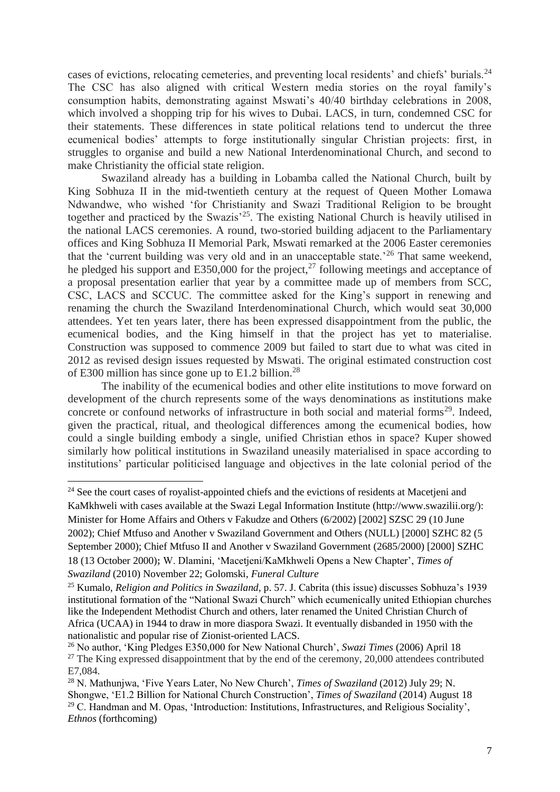cases of evictions, relocating cemeteries, and preventing local residents' and chiefs' burials.<sup>24</sup> The CSC has also aligned with critical Western media stories on the royal family's consumption habits, demonstrating against Mswati's 40/40 birthday celebrations in 2008, which involved a shopping trip for his wives to Dubai. LACS, in turn, condemned CSC for their statements. These differences in state political relations tend to undercut the three ecumenical bodies' attempts to forge institutionally singular Christian projects: first, in struggles to organise and build a new National Interdenominational Church, and second to make Christianity the official state religion.

Swaziland already has a building in Lobamba called the National Church, built by King Sobhuza II in the mid-twentieth century at the request of Queen Mother Lomawa Ndwandwe, who wished 'for Christianity and Swazi Traditional Religion to be brought together and practiced by the Swazis<sup>'25</sup>. The existing National Church is heavily utilised in the national LACS ceremonies. A round, two-storied building adjacent to the Parliamentary offices and King Sobhuza II Memorial Park, Mswati remarked at the 2006 Easter ceremonies that the 'current building was very old and in an unacceptable state.'<sup>26</sup> That same weekend, he pledged his support and E350,000 for the project,<sup>27</sup> following meetings and acceptance of a proposal presentation earlier that year by a committee made up of members from SCC, CSC, LACS and SCCUC. The committee asked for the King's support in renewing and renaming the church the Swaziland Interdenominational Church, which would seat 30,000 attendees. Yet ten years later, there has been expressed disappointment from the public, the ecumenical bodies, and the King himself in that the project has yet to materialise. Construction was supposed to commence 2009 but failed to start due to what was cited in 2012 as revised design issues requested by Mswati. The original estimated construction cost of E300 million has since gone up to E1.2 billion.<sup>28</sup>

The inability of the ecumenical bodies and other elite institutions to move forward on development of the church represents some of the ways denominations as institutions make concrete or confound networks of infrastructure in both social and material forms<sup>29</sup>. Indeed, given the practical, ritual, and theological differences among the ecumenical bodies, how could a single building embody a single, unified Christian ethos in space? Kuper showed similarly how political institutions in Swaziland uneasily materialised in space according to institutions' particular politicised language and objectives in the late colonial period of the

<sup>24</sup> See the court cases of royalist-appointed chiefs and the evictions of residents at Macetjeni and

KaMkhweli with cases available at the Swazi Legal Information Institute (http://www.swazilii.org/): Minister for Home Affairs and Others v Fakudze and Others (6/2002) [2002] SZSC 29 (10 June 2002); Chief Mtfuso and Another v Swaziland Government and Others (NULL) [2000] SZHC 82 (5 September 2000); Chief Mtfuso II and Another v Swaziland Government (2685/2000) [2000] SZHC 18 (13 October 2000)**;** W. Dlamini, 'Macetjeni/KaMkhweli Opens a New Chapter', *Times of Swaziland* (2010) November 22; Golomski, *Funeral Culture*

<sup>25</sup> Kumalo, *Religion and Politics in Swaziland*, p. 57. J. Cabrita (this issue) discusses Sobhuza's 1939 institutional formation of the "National Swazi Church" which ecumenically united Ethiopian churches like the Independent Methodist Church and others, later renamed the United Christian Church of Africa (UCAA) in 1944 to draw in more diaspora Swazi. It eventually disbanded in 1950 with the nationalistic and popular rise of Zionist-oriented LACS.

<sup>26</sup> No author, 'King Pledges E350,000 for New National Church', *Swazi Times* (2006) April 18 <sup>27</sup> The King expressed disappointment that by the end of the ceremony, 20,000 attendees contributed E7,084.

<sup>28</sup> N. Mathunjwa, 'Five Years Later, No New Church', *Times of Swaziland* (2012) July 29; N. Shongwe, 'E1.2 Billion for National Church Construction', *Times of Swaziland* (2014) August 18 <sup>29</sup> C. Handman and M. Opas, 'Introduction: Institutions, Infrastructures, and Religious Sociality', *Ethnos* (forthcoming)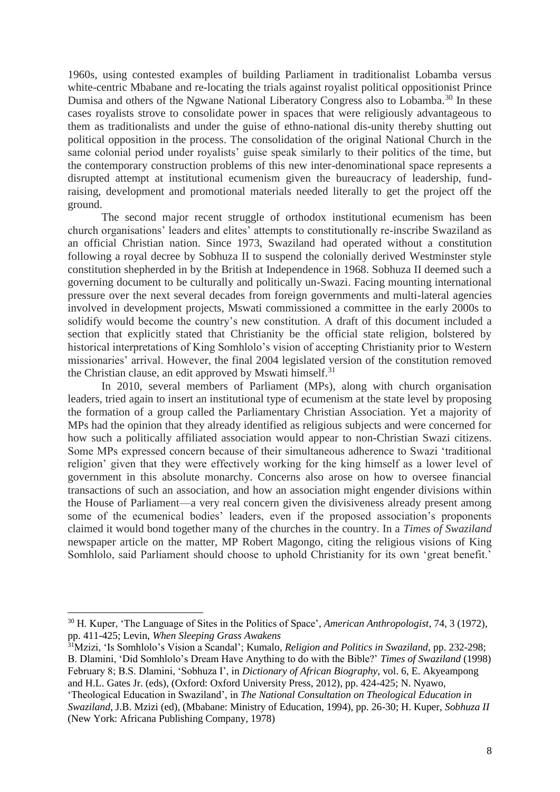1960s, using contested examples of building Parliament in traditionalist Lobamba versus white-centric Mbabane and re-locating the trials against royalist political oppositionist Prince Dumisa and others of the Ngwane National Liberatory Congress also to Lobamba.<sup>30</sup> In these cases royalists strove to consolidate power in spaces that were religiously advantageous to them as traditionalists and under the guise of ethno-national dis-unity thereby shutting out political opposition in the process. The consolidation of the original National Church in the same colonial period under royalists' guise speak similarly to their politics of the time, but the contemporary construction problems of this new inter-denominational space represents a disrupted attempt at institutional ecumenism given the bureaucracy of leadership, fundraising, development and promotional materials needed literally to get the project off the ground.

The second major recent struggle of orthodox institutional ecumenism has been church organisations' leaders and elites' attempts to constitutionally re-inscribe Swaziland as an official Christian nation. Since 1973, Swaziland had operated without a constitution following a royal decree by Sobhuza II to suspend the colonially derived Westminster style constitution shepherded in by the British at Independence in 1968. Sobhuza II deemed such a governing document to be culturally and politically un-Swazi. Facing mounting international pressure over the next several decades from foreign governments and multi-lateral agencies involved in development projects, Mswati commissioned a committee in the early 2000s to solidify would become the country's new constitution. A draft of this document included a section that explicitly stated that Christianity be the official state religion, bolstered by historical interpretations of King Somhlolo's vision of accepting Christianity prior to Western missionaries' arrival. However, the final 2004 legislated version of the constitution removed the Christian clause, an edit approved by Mswati himself.<sup>31</sup>

In 2010, several members of Parliament (MPs), along with church organisation leaders, tried again to insert an institutional type of ecumenism at the state level by proposing the formation of a group called the Parliamentary Christian Association. Yet a majority of MPs had the opinion that they already identified as religious subjects and were concerned for how such a politically affiliated association would appear to non-Christian Swazi citizens. Some MPs expressed concern because of their simultaneous adherence to Swazi 'traditional religion' given that they were effectively working for the king himself as a lower level of government in this absolute monarchy. Concerns also arose on how to oversee financial transactions of such an association, and how an association might engender divisions within the House of Parliament—a very real concern given the divisiveness already present among some of the ecumenical bodies' leaders, even if the proposed association's proponents claimed it would bond together many of the churches in the country. In a *Times of Swaziland*  newspaper article on the matter, MP Robert Magongo, citing the religious visions of King Somhlolo, said Parliament should choose to uphold Christianity for its own 'great benefit.'

<sup>31</sup>Mzizi, 'Is Somhlolo's Vision a Scandal'; Kumalo, *Religion and Politics in Swaziland*, pp. 232-298; B. Dlamini, 'Did Somhlolo's Dream Have Anything to do with the Bible?' *Times of Swaziland* (1998) February 8; B.S. Dlamini, 'Sobhuza I', in *Dictionary of African Biography*, vol. 6, E. Akyeampong and H.L. Gates Jr. (eds), (Oxford: Oxford University Press, 2012), pp. 424-425; N. Nyawo,

<sup>30</sup> H. Kuper, 'The Language of Sites in the Politics of Space', *American Anthropologist*, 74, 3 (1972), pp. 411-425; Levin, *When Sleeping Grass Awakens*

<sup>&#</sup>x27;Theological Education in Swaziland', in *The National Consultation on Theological Education in Swaziland*, J.B. Mzizi (ed), (Mbabane: Ministry of Education, 1994), pp. 26-30; H. Kuper, *Sobhuza II*  (New York: Africana Publishing Company, 1978)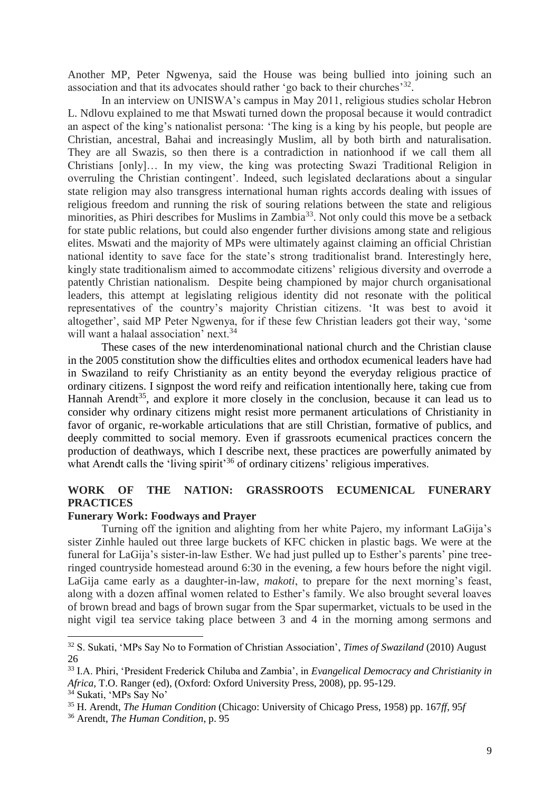Another MP, Peter Ngwenya, said the House was being bullied into joining such an association and that its advocates should rather 'go back to their churches'<sup>32</sup>.

In an interview on UNISWA's campus in May 2011, religious studies scholar Hebron L. Ndlovu explained to me that Mswati turned down the proposal because it would contradict an aspect of the king's nationalist persona: 'The king is a king by his people, but people are Christian, ancestral, Bahai and increasingly Muslim, all by both birth and naturalisation. They are all Swazis, so then there is a contradiction in nationhood if we call them all Christians [only]… In my view, the king was protecting Swazi Traditional Religion in overruling the Christian contingent'. Indeed, such legislated declarations about a singular state religion may also transgress international human rights accords dealing with issues of religious freedom and running the risk of souring relations between the state and religious minorities, as Phiri describes for Muslims in Zambia<sup>33</sup>. Not only could this move be a setback for state public relations, but could also engender further divisions among state and religious elites. Mswati and the majority of MPs were ultimately against claiming an official Christian national identity to save face for the state's strong traditionalist brand. Interestingly here, kingly state traditionalism aimed to accommodate citizens' religious diversity and overrode a patently Christian nationalism. Despite being championed by major church organisational leaders, this attempt at legislating religious identity did not resonate with the political representatives of the country's majority Christian citizens. 'It was best to avoid it altogether', said MP Peter Ngwenya, for if these few Christian leaders got their way, 'some will want a halaal association' next.<sup>34</sup>

These cases of the new interdenominational national church and the Christian clause in the 2005 constitution show the difficulties elites and orthodox ecumenical leaders have had in Swaziland to reify Christianity as an entity beyond the everyday religious practice of ordinary citizens. I signpost the word reify and reification intentionally here, taking cue from Hannah Arendt<sup>35</sup>, and explore it more closely in the conclusion, because it can lead us to consider why ordinary citizens might resist more permanent articulations of Christianity in favor of organic, re-workable articulations that are still Christian, formative of publics, and deeply committed to social memory. Even if grassroots ecumenical practices concern the production of deathways, which I describe next, these practices are powerfully animated by what Arendt calls the 'living spirit'<sup>36</sup> of ordinary citizens' religious imperatives.

# **WORK OF THE NATION: GRASSROOTS ECUMENICAL FUNERARY PRACTICES**

#### **Funerary Work: Foodways and Prayer**

Turning off the ignition and alighting from her white Pajero, my informant LaGija's sister Zinhle hauled out three large buckets of KFC chicken in plastic bags. We were at the funeral for LaGija's sister-in-law Esther. We had just pulled up to Esther's parents' pine treeringed countryside homestead around 6:30 in the evening, a few hours before the night vigil. LaGija came early as a daughter-in-law, *makoti*, to prepare for the next morning's feast, along with a dozen affinal women related to Esther's family. We also brought several loaves of brown bread and bags of brown sugar from the Spar supermarket, victuals to be used in the night vigil tea service taking place between 3 and 4 in the morning among sermons and

<sup>32</sup> S. Sukati, 'MPs Say No to Formation of Christian Association', *Times of Swaziland* (2010) August 26

<sup>33</sup> I.A. Phiri, 'President Frederick Chiluba and Zambia', in *Evangelical Democracy and Christianity in Africa*, T.O. Ranger (ed), (Oxford: Oxford University Press, 2008), pp. 95-129.

<sup>34</sup> Sukati, 'MPs Say No'

<sup>35</sup> H. Arendt, *The Human Condition* (Chicago: University of Chicago Press, 1958) pp. 167*ff*, 95*f*

<sup>36</sup> Arendt, *The Human Condition*, p. 95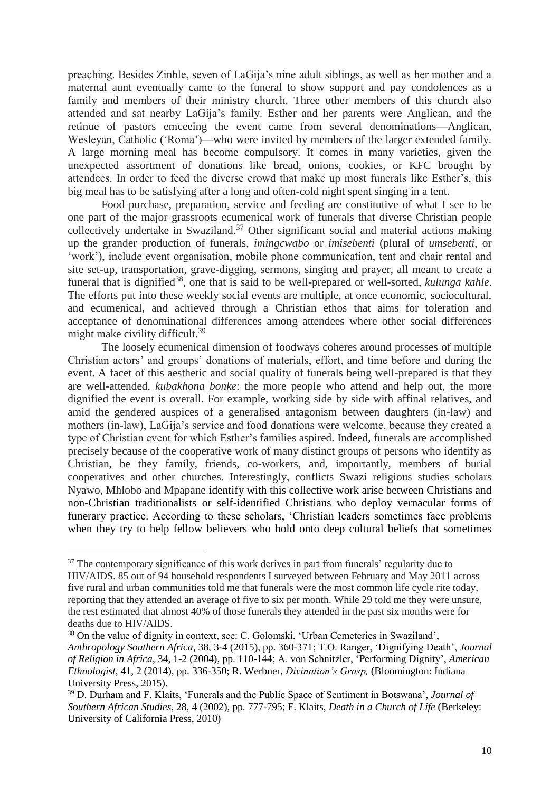preaching. Besides Zinhle, seven of LaGija's nine adult siblings, as well as her mother and a maternal aunt eventually came to the funeral to show support and pay condolences as a family and members of their ministry church. Three other members of this church also attended and sat nearby LaGija's family. Esther and her parents were Anglican, and the retinue of pastors emceeing the event came from several denominations—Anglican, Wesleyan, Catholic ('Roma')—who were invited by members of the larger extended family. A large morning meal has become compulsory. It comes in many varieties, given the unexpected assortment of donations like bread, onions, cookies, or KFC brought by attendees. In order to feed the diverse crowd that make up most funerals like Esther's, this big meal has to be satisfying after a long and often-cold night spent singing in a tent.

Food purchase, preparation, service and feeding are constitutive of what I see to be one part of the major grassroots ecumenical work of funerals that diverse Christian people collectively undertake in Swaziland.<sup>37</sup> Other significant social and material actions making up the grander production of funerals, *imingcwabo* or *imisebenti* (plural of *umsebenti*, or 'work'), include event organisation, mobile phone communication, tent and chair rental and site set-up, transportation, grave-digging, sermons, singing and prayer, all meant to create a funeral that is dignified<sup>38</sup>, one that is said to be well-prepared or well-sorted, *kulunga kahle*. The efforts put into these weekly social events are multiple, at once economic, sociocultural, and ecumenical, and achieved through a Christian ethos that aims for toleration and acceptance of denominational differences among attendees where other social differences might make civility difficult.<sup>39</sup>

The loosely ecumenical dimension of foodways coheres around processes of multiple Christian actors' and groups' donations of materials, effort, and time before and during the event. A facet of this aesthetic and social quality of funerals being well-prepared is that they are well-attended, *kubakhona bonke*: the more people who attend and help out, the more dignified the event is overall. For example, working side by side with affinal relatives, and amid the gendered auspices of a generalised antagonism between daughters (in-law) and mothers (in-law), LaGija's service and food donations were welcome, because they created a type of Christian event for which Esther's families aspired. Indeed, funerals are accomplished precisely because of the cooperative work of many distinct groups of persons who identify as Christian, be they family, friends, co-workers, and, importantly, members of burial cooperatives and other churches. Interestingly, conflicts Swazi religious studies scholars Nyawo, Mhlobo and Mpapane identify with this collective work arise between Christians and non-Christian traditionalists or self-identified Christians who deploy vernacular forms of funerary practice. According to these scholars, 'Christian leaders sometimes face problems when they try to help fellow believers who hold onto deep cultural beliefs that sometimes

 $37$  The contemporary significance of this work derives in part from funerals' regularity due to HIV/AIDS. 85 out of 94 household respondents I surveyed between February and May 2011 across five rural and urban communities told me that funerals were the most common life cycle rite today, reporting that they attended an average of five to six per month. While 29 told me they were unsure, the rest estimated that almost 40% of those funerals they attended in the past six months were for deaths due to HIV/AIDS.

<sup>38</sup> On the value of dignity in context, see: C. Golomski, 'Urban Cemeteries in Swaziland', *Anthropology Southern Africa*, 38, 3-4 (2015), pp. 360-371; T.O. Ranger, 'Dignifying Death', *Journal of Religion in Africa*, 34, 1-2 (2004), pp. 110-144; A. von Schnitzler, 'Performing Dignity', *American Ethnologist*, 41, 2 (2014), pp. 336-350; R. Werbner, *Divination's Grasp,* (Bloomington: Indiana University Press, 2015).

<sup>39</sup> D. Durham and F. Klaits, 'Funerals and the Public Space of Sentiment in Botswana', *Journal of Southern African Studies*, 28, 4 (2002), pp. 777-795; F. Klaits, *Death in a Church of Life* (Berkeley: University of California Press, 2010)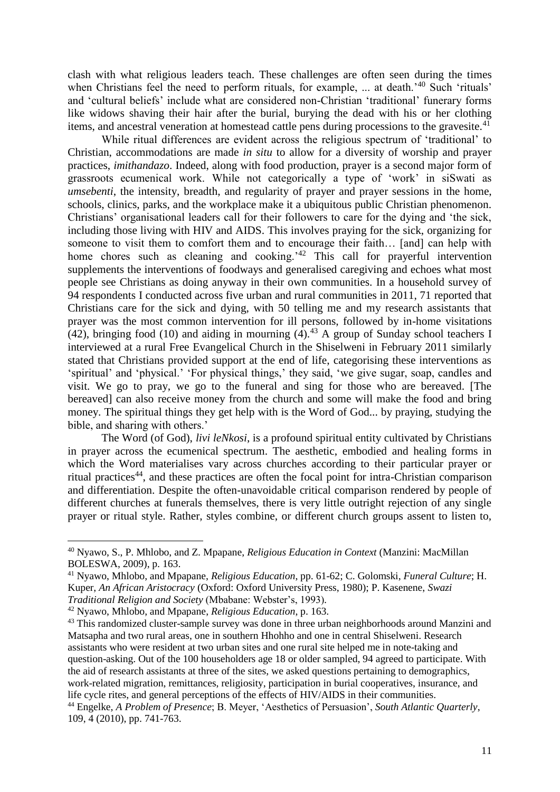clash with what religious leaders teach. These challenges are often seen during the times when Christians feel the need to perform rituals, for example, ... at death.<sup>'40</sup> Such 'rituals' and 'cultural beliefs' include what are considered non-Christian 'traditional' funerary forms like widows shaving their hair after the burial, burying the dead with his or her clothing items, and ancestral veneration at homestead cattle pens during processions to the gravesite.<sup>41</sup>

While ritual differences are evident across the religious spectrum of 'traditional' to Christian, accommodations are made *in situ* to allow for a diversity of worship and prayer practices, *imithandazo*. Indeed, along with food production, prayer is a second major form of grassroots ecumenical work. While not categorically a type of 'work' in siSwati as *umsebenti*, the intensity, breadth, and regularity of prayer and prayer sessions in the home, schools, clinics, parks, and the workplace make it a ubiquitous public Christian phenomenon. Christians' organisational leaders call for their followers to care for the dying and 'the sick, including those living with HIV and AIDS. This involves praying for the sick, organizing for someone to visit them to comfort them and to encourage their faith... [and] can help with home chores such as cleaning and cooking.<sup>'42</sup> This call for prayerful intervention supplements the interventions of foodways and generalised caregiving and echoes what most people see Christians as doing anyway in their own communities. In a household survey of 94 respondents I conducted across five urban and rural communities in 2011, 71 reported that Christians care for the sick and dying, with 50 telling me and my research assistants that prayer was the most common intervention for ill persons, followed by in-home visitations (42), bringing food (10) and aiding in mourning  $(4)$ .<sup>43</sup> A group of Sunday school teachers I interviewed at a rural Free Evangelical Church in the Shiselweni in February 2011 similarly stated that Christians provided support at the end of life, categorising these interventions as 'spiritual' and 'physical.' 'For physical things,' they said, 'we give sugar, soap, candles and visit. We go to pray, we go to the funeral and sing for those who are bereaved. [The bereaved] can also receive money from the church and some will make the food and bring money. The spiritual things they get help with is the Word of God... by praying, studying the bible, and sharing with others.'

The Word (of God), *livi leNkosi*, is a profound spiritual entity cultivated by Christians in prayer across the ecumenical spectrum. The aesthetic, embodied and healing forms in which the Word materialises vary across churches according to their particular prayer or ritual practices<sup>44</sup>, and these practices are often the focal point for intra-Christian comparison and differentiation. Despite the often-unavoidable critical comparison rendered by people of different churches at funerals themselves, there is very little outright rejection of any single prayer or ritual style. Rather, styles combine, or different church groups assent to listen to,

<sup>40</sup> Nyawo, S., P. Mhlobo, and Z. Mpapane, *Religious Education in Context* (Manzini: MacMillan BOLESWA, 2009), p. 163.

<sup>41</sup> Nyawo, Mhlobo, and Mpapane, *Religious Education*, pp. 61-62; C. Golomski, *Funeral Culture*; H. Kuper, *An African Aristocracy* (Oxford: Oxford University Press, 1980); P. Kasenene, *Swazi Traditional Religion and Society* (Mbabane: Webster's, 1993)*.*

<sup>42</sup> Nyawo, Mhlobo, and Mpapane, *Religious Education*, p. 163.

<sup>&</sup>lt;sup>43</sup> This randomized cluster-sample survey was done in three urban neighborhoods around Manzini and Matsapha and two rural areas, one in southern Hhohho and one in central Shiselweni. Research assistants who were resident at two urban sites and one rural site helped me in note-taking and question-asking. Out of the 100 householders age 18 or older sampled, 94 agreed to participate. With the aid of research assistants at three of the sites, we asked questions pertaining to demographics, work-related migration, remittances, religiosity, participation in burial cooperatives, insurance, and life cycle rites, and general perceptions of the effects of HIV/AIDS in their communities. <sup>44</sup> Engelke, *A Problem of Presence*; B. Meyer, 'Aesthetics of Persuasion', *South Atlantic Quarterly*, 109, 4 (2010), pp. 741-763.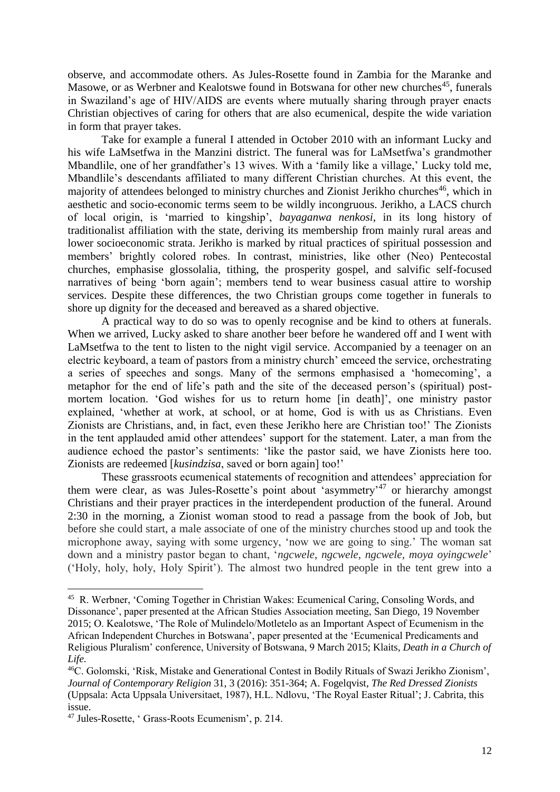observe, and accommodate others. As Jules-Rosette found in Zambia for the Maranke and Masowe, or as Werbner and Kealotswe found in Botswana for other new churches<sup>45</sup>, funerals in Swaziland's age of HIV/AIDS are events where mutually sharing through prayer enacts Christian objectives of caring for others that are also ecumenical, despite the wide variation in form that prayer takes.

Take for example a funeral I attended in October 2010 with an informant Lucky and his wife LaMsetfwa in the Manzini district. The funeral was for LaMsetfwa's grandmother Mbandlile, one of her grandfather's 13 wives. With a 'family like a village,' Lucky told me, Mbandlile's descendants affiliated to many different Christian churches. At this event, the majority of attendees belonged to ministry churches and Zionist Jerikho churches<sup>46</sup>, which in aesthetic and socio-economic terms seem to be wildly incongruous. Jerikho, a LACS church of local origin, is 'married to kingship', *bayaganwa nenkosi*, in its long history of traditionalist affiliation with the state, deriving its membership from mainly rural areas and lower socioeconomic strata. Jerikho is marked by ritual practices of spiritual possession and members' brightly colored robes. In contrast, ministries, like other (Neo) Pentecostal churches, emphasise glossolalia, tithing, the prosperity gospel, and salvific self-focused narratives of being 'born again'; members tend to wear business casual attire to worship services. Despite these differences, the two Christian groups come together in funerals to shore up dignity for the deceased and bereaved as a shared objective.

A practical way to do so was to openly recognise and be kind to others at funerals. When we arrived, Lucky asked to share another beer before he wandered off and I went with LaMsetfwa to the tent to listen to the night vigil service. Accompanied by a teenager on an electric keyboard, a team of pastors from a ministry church' emceed the service, orchestrating a series of speeches and songs. Many of the sermons emphasised a 'homecoming', a metaphor for the end of life's path and the site of the deceased person's (spiritual) postmortem location. 'God wishes for us to return home [in death]', one ministry pastor explained, 'whether at work, at school, or at home, God is with us as Christians. Even Zionists are Christians, and, in fact, even these Jerikho here are Christian too!' The Zionists in the tent applauded amid other attendees' support for the statement. Later, a man from the audience echoed the pastor's sentiments: 'like the pastor said, we have Zionists here too. Zionists are redeemed [*kusindzisa*, saved or born again] too!'

These grassroots ecumenical statements of recognition and attendees' appreciation for them were clear, as was Jules-Rosette's point about 'asymmetry'<sup>47</sup> or hierarchy amongst Christians and their prayer practices in the interdependent production of the funeral. Around 2:30 in the morning, a Zionist woman stood to read a passage from the book of Job, but before she could start, a male associate of one of the ministry churches stood up and took the microphone away, saying with some urgency, 'now we are going to sing.' The woman sat down and a ministry pastor began to chant, '*ngcwele*, *ngcwele*, *ngcwele*, *moya oyingcwele*' ('Holy, holy, holy, Holy Spirit'). The almost two hundred people in the tent grew into a

<sup>45</sup> R. Werbner, 'Coming Together in Christian Wakes: Ecumenical Caring, Consoling Words, and Dissonance', paper presented at the African Studies Association meeting, San Diego, 19 November 2015; O. Kealotswe, 'The Role of Mulindelo/Motletelo as an Important Aspect of Ecumenism in the African Independent Churches in Botswana', paper presented at the 'Ecumenical Predicaments and Religious Pluralism' conference, University of Botswana, 9 March 2015; Klaits, *Death in a Church of Life.*

<sup>46</sup>C. Golomski, 'Risk, Mistake and Generational Contest in Bodily Rituals of Swazi Jerikho Zionism', *Journal of Contemporary Religion* 31, 3 (2016): 351-364; A. Fogelqvist, *The Red Dressed Zionists*  (Uppsala: Acta Uppsala Universitaet, 1987), H.L. Ndlovu, 'The Royal Easter Ritual'; J. Cabrita, this issue.

<sup>47</sup> Jules-Rosette, ' Grass-Roots Ecumenism', p. 214.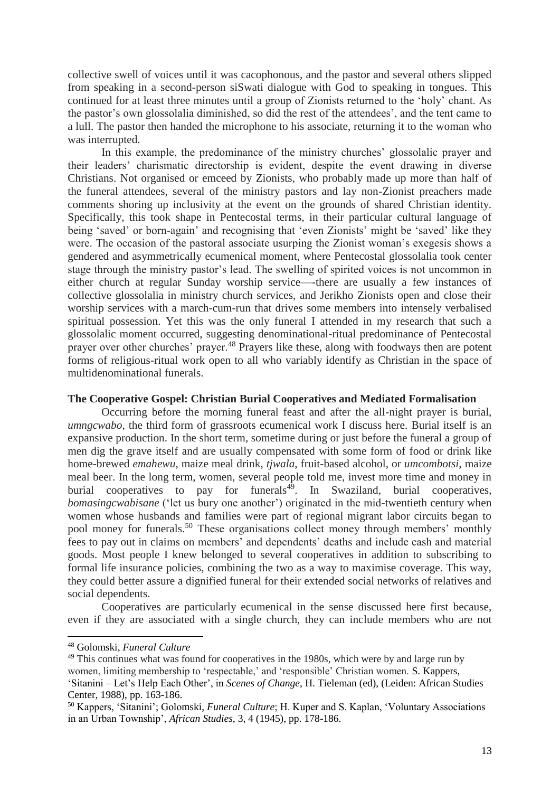collective swell of voices until it was cacophonous, and the pastor and several others slipped from speaking in a second-person siSwati dialogue with God to speaking in tongues. This continued for at least three minutes until a group of Zionists returned to the 'holy' chant. As the pastor's own glossolalia diminished, so did the rest of the attendees', and the tent came to a lull. The pastor then handed the microphone to his associate, returning it to the woman who was interrupted.

In this example, the predominance of the ministry churches' glossolalic prayer and their leaders' charismatic directorship is evident, despite the event drawing in diverse Christians. Not organised or emceed by Zionists, who probably made up more than half of the funeral attendees, several of the ministry pastors and lay non-Zionist preachers made comments shoring up inclusivity at the event on the grounds of shared Christian identity. Specifically, this took shape in Pentecostal terms, in their particular cultural language of being 'saved' or born-again' and recognising that 'even Zionists' might be 'saved' like they were. The occasion of the pastoral associate usurping the Zionist woman's exegesis shows a gendered and asymmetrically ecumenical moment, where Pentecostal glossolalia took center stage through the ministry pastor's lead. The swelling of spirited voices is not uncommon in either church at regular Sunday worship service—-there are usually a few instances of collective glossolalia in ministry church services, and Jerikho Zionists open and close their worship services with a march-cum-run that drives some members into intensely verbalised spiritual possession. Yet this was the only funeral I attended in my research that such a glossolalic moment occurred, suggesting denominational-ritual predominance of Pentecostal prayer over other churches' prayer.<sup>48</sup> Prayers like these, along with foodways then are potent forms of religious-ritual work open to all who variably identify as Christian in the space of multidenominational funerals.

#### **The Cooperative Gospel: Christian Burial Cooperatives and Mediated Formalisation**

Occurring before the morning funeral feast and after the all-night prayer is burial, *umngcwabo*, the third form of grassroots ecumenical work I discuss here. Burial itself is an expansive production. In the short term, sometime during or just before the funeral a group of men dig the grave itself and are usually compensated with some form of food or drink like home-brewed *emahewu*, maize meal drink, *tjwala*, fruit-based alcohol, or *umcombotsi*, maize meal beer. In the long term, women, several people told me, invest more time and money in burial cooperatives to pay for funerals $4^9$ . In Swaziland, burial cooperatives, *bomasingcwabisane* ('let us bury one another') originated in the mid-twentieth century when women whose husbands and families were part of regional migrant labor circuits began to pool money for funerals.<sup>50</sup> These organisations collect money through members' monthly fees to pay out in claims on members' and dependents' deaths and include cash and material goods. Most people I knew belonged to several cooperatives in addition to subscribing to formal life insurance policies, combining the two as a way to maximise coverage. This way, they could better assure a dignified funeral for their extended social networks of relatives and social dependents.

Cooperatives are particularly ecumenical in the sense discussed here first because, even if they are associated with a single church, they can include members who are not

<sup>48</sup> Golomski, *Funeral Culture*

 $49$  This continues what was found for cooperatives in the 1980s, which were by and large run by women, limiting membership to 'respectable,' and 'responsible' Christian women. S. Kappers, 'Sitanini – Let's Help Each Other', in *Scenes of Change*, H. Tieleman (ed), (Leiden: African Studies Center, 1988), pp. 163-186.

<sup>50</sup> Kappers, 'Sitanini'; Golomski, *Funeral Culture*; H. Kuper and S. Kaplan, 'Voluntary Associations in an Urban Township', *African Studies*, 3, 4 (1945), pp. 178-186.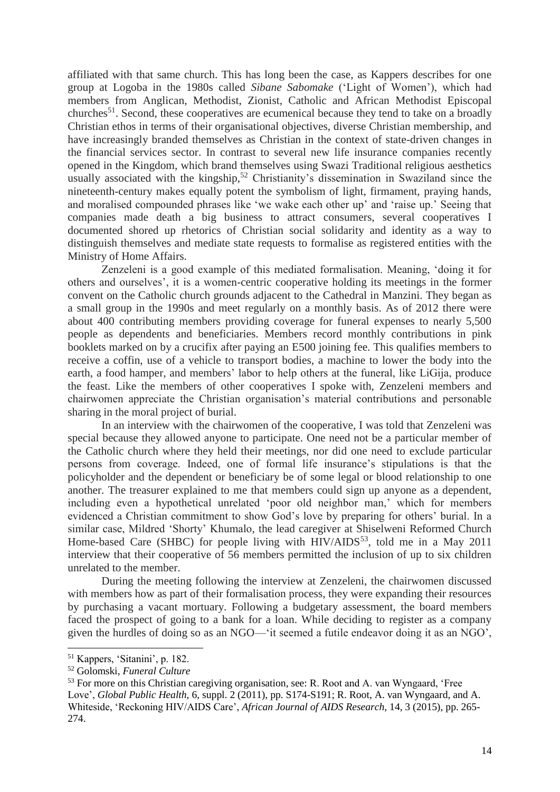affiliated with that same church. This has long been the case, as Kappers describes for one group at Logoba in the 1980s called *Sibane Sabomake* ('Light of Women'), which had members from Anglican, Methodist, Zionist, Catholic and African Methodist Episcopal churches<sup>51</sup>. Second, these cooperatives are ecumenical because they tend to take on a broadly Christian ethos in terms of their organisational objectives, diverse Christian membership, and have increasingly branded themselves as Christian in the context of state-driven changes in the financial services sector. In contrast to several new life insurance companies recently opened in the Kingdom, which brand themselves using Swazi Traditional religious aesthetics usually associated with the kingship,<sup>52</sup> Christianity's dissemination in Swaziland since the nineteenth-century makes equally potent the symbolism of light, firmament, praying hands, and moralised compounded phrases like 'we wake each other up' and 'raise up.' Seeing that companies made death a big business to attract consumers, several cooperatives I documented shored up rhetorics of Christian social solidarity and identity as a way to distinguish themselves and mediate state requests to formalise as registered entities with the Ministry of Home Affairs.

Zenzeleni is a good example of this mediated formalisation. Meaning, 'doing it for others and ourselves', it is a women-centric cooperative holding its meetings in the former convent on the Catholic church grounds adjacent to the Cathedral in Manzini. They began as a small group in the 1990s and meet regularly on a monthly basis. As of 2012 there were about 400 contributing members providing coverage for funeral expenses to nearly 5,500 people as dependents and beneficiaries. Members record monthly contributions in pink booklets marked on by a crucifix after paying an E500 joining fee. This qualifies members to receive a coffin, use of a vehicle to transport bodies, a machine to lower the body into the earth, a food hamper, and members' labor to help others at the funeral, like LiGija, produce the feast. Like the members of other cooperatives I spoke with, Zenzeleni members and chairwomen appreciate the Christian organisation's material contributions and personable sharing in the moral project of burial.

In an interview with the chairwomen of the cooperative, I was told that Zenzeleni was special because they allowed anyone to participate. One need not be a particular member of the Catholic church where they held their meetings, nor did one need to exclude particular persons from coverage. Indeed, one of formal life insurance's stipulations is that the policyholder and the dependent or beneficiary be of some legal or blood relationship to one another. The treasurer explained to me that members could sign up anyone as a dependent, including even a hypothetical unrelated 'poor old neighbor man,' which for members evidenced a Christian commitment to show God's love by preparing for others' burial. In a similar case, Mildred 'Shorty' Khumalo, the lead caregiver at Shiselweni Reformed Church Home-based Care (SHBC) for people living with  $HIV/ALDS<sup>53</sup>$ , told me in a May 2011 interview that their cooperative of 56 members permitted the inclusion of up to six children unrelated to the member.

During the meeting following the interview at Zenzeleni, the chairwomen discussed with members how as part of their formalisation process, they were expanding their resources by purchasing a vacant mortuary. Following a budgetary assessment, the board members faced the prospect of going to a bank for a loan. While deciding to register as a company given the hurdles of doing so as an NGO—'it seemed a futile endeavor doing it as an NGO',

<sup>51</sup> Kappers, 'Sitanini', p. 182.

<sup>52</sup> Golomski, *Funeral Culture*

<sup>&</sup>lt;sup>53</sup> For more on this Christian caregiving organisation, see: R. Root and A. van Wyngaard, 'Free Love', *Global Public Health*, 6, suppl. 2 (2011), pp. S174-S191; R. Root, A. van Wyngaard, and A. Whiteside, 'Reckoning HIV/AIDS Care', *African Journal of AIDS Research*, 14, 3 (2015), pp. 265- 274.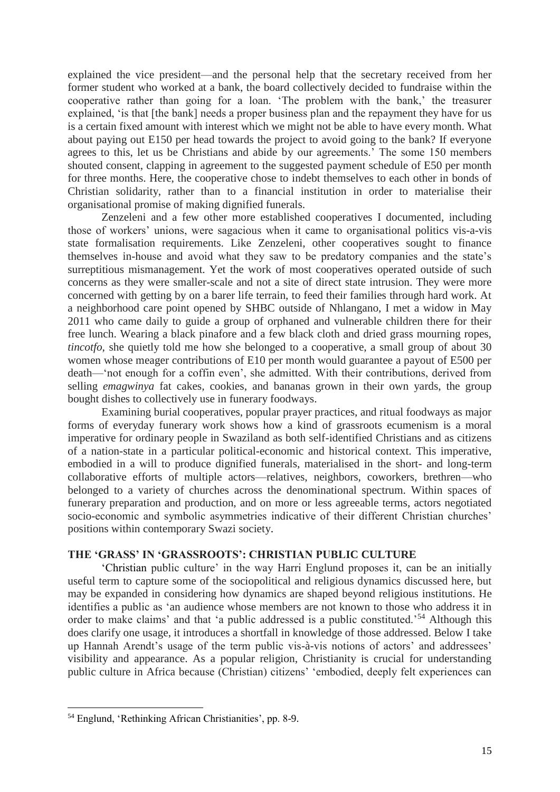explained the vice president—and the personal help that the secretary received from her former student who worked at a bank, the board collectively decided to fundraise within the cooperative rather than going for a loan. 'The problem with the bank,' the treasurer explained, 'is that [the bank] needs a proper business plan and the repayment they have for us is a certain fixed amount with interest which we might not be able to have every month. What about paying out E150 per head towards the project to avoid going to the bank? If everyone agrees to this, let us be Christians and abide by our agreements.' The some 150 members shouted consent, clapping in agreement to the suggested payment schedule of E50 per month for three months. Here, the cooperative chose to indebt themselves to each other in bonds of Christian solidarity, rather than to a financial institution in order to materialise their organisational promise of making dignified funerals.

Zenzeleni and a few other more established cooperatives I documented, including those of workers' unions, were sagacious when it came to organisational politics vis-a-vis state formalisation requirements. Like Zenzeleni, other cooperatives sought to finance themselves in-house and avoid what they saw to be predatory companies and the state's surreptitious mismanagement. Yet the work of most cooperatives operated outside of such concerns as they were smaller-scale and not a site of direct state intrusion. They were more concerned with getting by on a barer life terrain, to feed their families through hard work. At a neighborhood care point opened by SHBC outside of Nhlangano, I met a widow in May 2011 who came daily to guide a group of orphaned and vulnerable children there for their free lunch. Wearing a black pinafore and a few black cloth and dried grass mourning ropes, *tincotfo*, she quietly told me how she belonged to a cooperative, a small group of about 30 women whose meager contributions of E10 per month would guarantee a payout of E500 per death—'not enough for a coffin even', she admitted. With their contributions, derived from selling *emagwinya* fat cakes*,* cookies, and bananas grown in their own yards, the group bought dishes to collectively use in funerary foodways.

Examining burial cooperatives, popular prayer practices, and ritual foodways as major forms of everyday funerary work shows how a kind of grassroots ecumenism is a moral imperative for ordinary people in Swaziland as both self-identified Christians and as citizens of a nation-state in a particular political-economic and historical context. This imperative, embodied in a will to produce dignified funerals, materialised in the short- and long-term collaborative efforts of multiple actors—relatives, neighbors, coworkers, brethren—who belonged to a variety of churches across the denominational spectrum. Within spaces of funerary preparation and production, and on more or less agreeable terms, actors negotiated socio-economic and symbolic asymmetries indicative of their different Christian churches' positions within contemporary Swazi society.

#### **THE 'GRASS' IN 'GRASSROOTS': CHRISTIAN PUBLIC CULTURE**

'Christian public culture' in the way Harri Englund proposes it, can be an initially useful term to capture some of the sociopolitical and religious dynamics discussed here, but may be expanded in considering how dynamics are shaped beyond religious institutions. He identifies a public as 'an audience whose members are not known to those who address it in order to make claims' and that 'a public addressed is a public constituted.'<sup>54</sup> Although this does clarify one usage, it introduces a shortfall in knowledge of those addressed. Below I take up Hannah Arendt's usage of the term public vis-à-vis notions of actors' and addressees' visibility and appearance. As a popular religion, Christianity is crucial for understanding public culture in Africa because (Christian) citizens' 'embodied, deeply felt experiences can

<sup>54</sup> Englund, 'Rethinking African Christianities', pp. 8-9.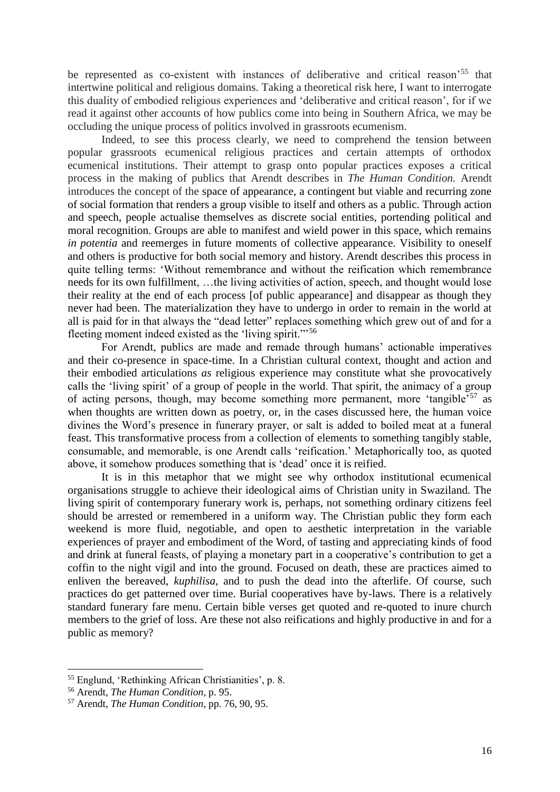be represented as co-existent with instances of deliberative and critical reason'<sup>55</sup> that intertwine political and religious domains. Taking a theoretical risk here, I want to interrogate this duality of embodied religious experiences and 'deliberative and critical reason', for if we read it against other accounts of how publics come into being in Southern Africa, we may be occluding the unique process of politics involved in grassroots ecumenism.

Indeed, to see this process clearly, we need to comprehend the tension between popular grassroots ecumenical religious practices and certain attempts of orthodox ecumenical institutions. Their attempt to grasp onto popular practices exposes a critical process in the making of publics that Arendt describes in *The Human Condition.* Arendt introduces the concept of the space of appearance, a contingent but viable and recurring zone of social formation that renders a group visible to itself and others as a public. Through action and speech, people actualise themselves as discrete social entities, portending political and moral recognition. Groups are able to manifest and wield power in this space, which remains *in potentia* and reemerges in future moments of collective appearance. Visibility to oneself and others is productive for both social memory and history. Arendt describes this process in quite telling terms: 'Without remembrance and without the reification which remembrance needs for its own fulfillment, …the living activities of action, speech, and thought would lose their reality at the end of each process [of public appearance] and disappear as though they never had been. The materialization they have to undergo in order to remain in the world at all is paid for in that always the "dead letter" replaces something which grew out of and for a fleeting moment indeed existed as the 'living spirit."<sup>56</sup>

For Arendt, publics are made and remade through humans' actionable imperatives and their co-presence in space-time. In a Christian cultural context, thought and action and their embodied articulations *as* religious experience may constitute what she provocatively calls the 'living spirit' of a group of people in the world. That spirit, the animacy of a group of acting persons, though, may become something more permanent, more 'tangible'<sup>57</sup> as when thoughts are written down as poetry, or, in the cases discussed here, the human voice divines the Word's presence in funerary prayer, or salt is added to boiled meat at a funeral feast. This transformative process from a collection of elements to something tangibly stable, consumable, and memorable, is one Arendt calls 'reification.' Metaphorically too, as quoted above, it somehow produces something that is 'dead' once it is reified.

It is in this metaphor that we might see why orthodox institutional ecumenical organisations struggle to achieve their ideological aims of Christian unity in Swaziland. The living spirit of contemporary funerary work is, perhaps, not something ordinary citizens feel should be arrested or remembered in a uniform way. The Christian public they form each weekend is more fluid, negotiable, and open to aesthetic interpretation in the variable experiences of prayer and embodiment of the Word, of tasting and appreciating kinds of food and drink at funeral feasts, of playing a monetary part in a cooperative's contribution to get a coffin to the night vigil and into the ground. Focused on death, these are practices aimed to enliven the bereaved, *kuphilisa*, and to push the dead into the afterlife. Of course, such practices do get patterned over time. Burial cooperatives have by-laws. There is a relatively standard funerary fare menu. Certain bible verses get quoted and re-quoted to inure church members to the grief of loss. Are these not also reifications and highly productive in and for a public as memory?

<sup>55</sup> Englund, 'Rethinking African Christianities', p. 8.

<sup>56</sup> Arendt, *The Human Condition*, p. 95.

<sup>57</sup> Arendt, *The Human Condition*, pp. 76, 90, 95.